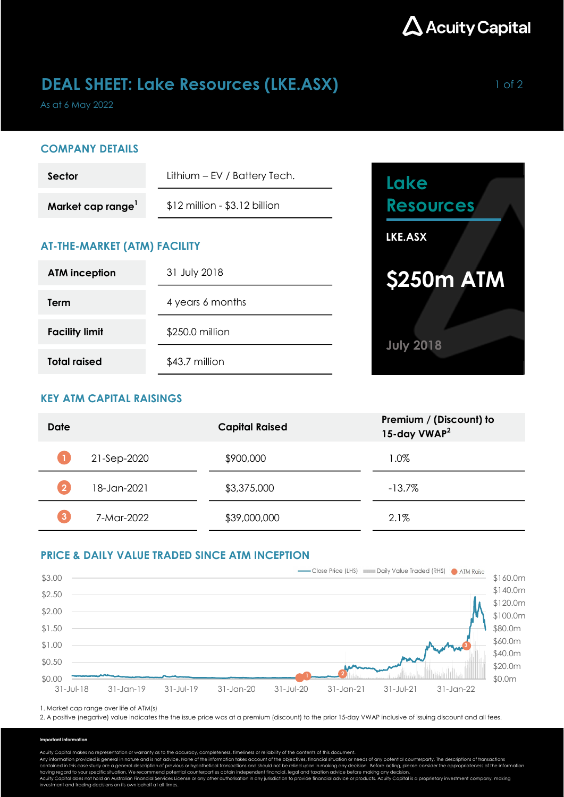

## **DEAL SHEET: Lake Resources (LKE.ASX)** 1 of 2

As at 6 May 2022

## COMPANY DETAILS

| Sector           | Lithium – EV / Battery Tech.    |  |
|------------------|---------------------------------|--|
| Market cap range | $$12$ million - $$3.12$ billion |  |

## AT-THE-MARKET (ATM) FACILITY

| <b>ATM</b> inception  | 31 July 2018     |
|-----------------------|------------------|
| Term                  | 4 years 6 months |
| <b>Facility limit</b> | \$250.0 million  |
| <b>Total raised</b>   | \$43.7 million   |



## KEY ATM CAPITAL RAISINGS

| <b>Date</b> |             | <b>Capital Raised</b> | Premium / (Discount) to<br>15-day VWAP <sup>2</sup> |
|-------------|-------------|-----------------------|-----------------------------------------------------|
|             | 21-Sep-2020 | \$900,000             | 1.0%                                                |
| 2           | 18-Jan-2021 | \$3,375,000           | $-13.7\%$                                           |
| 3           | 7-Mar-2022  | \$39,000,000          | 2.1%                                                |

## PRICE & DAILY VALUE TRADED SINCE ATM INCEPTION



1. Market cap range over life of ATM(s)

2. A positive (negative) value indicates the the issue price was at a premium (discount) to the prior 15-day VWAP inclusive of issuing discount and all fees.

#### Important information

Acuity Capital makes no representation or warranty as to the accuracy, completeness, timeliness or reliability of the contents of this document.

Any information provided is general in nature and is not advice. None of the information takes account of the objectives, financial situation or needs of any potential counterparty. The descriptions of transactions<br>contain

having regard to your specific situation. We recommend potential counterparties obtain independent financial, legal and taxation advice before making any decision.<br>Acuity Capital does not hold an Australian Financial Servi investment and trading decisions on its own behalf at all times.